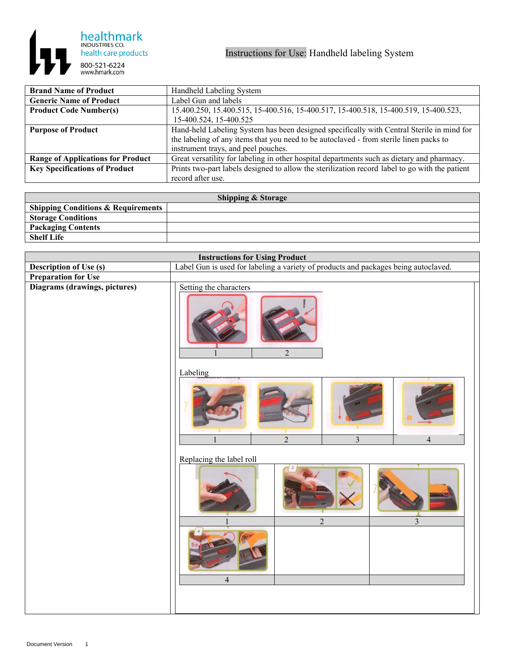

| <b>Brand Name of Product</b>             | Handheld Labeling System                                                                       |
|------------------------------------------|------------------------------------------------------------------------------------------------|
| <b>Generic Name of Product</b>           | Label Gun and labels                                                                           |
| <b>Product Code Number(s)</b>            | 15.400.250, 15.400.515, 15-400.516, 15-400.517, 15-400.518, 15-400.519, 15-400.523,            |
|                                          | 15-400.524, 15-400.525                                                                         |
| <b>Purpose of Product</b>                | Hand-held Labeling System has been designed specifically with Central Sterile in mind for      |
|                                          | the labeling of any items that you need to be autoclaved - from sterile linen packs to         |
|                                          | instrument trays, and peel pouches.                                                            |
| <b>Range of Applications for Product</b> | Great versatility for labeling in other hospital departments such as dietary and pharmacy.     |
| <b>Key Specifications of Product</b>     | Prints two-part labels designed to allow the sterilization record label to go with the patient |
|                                          | record after use.                                                                              |

| <b>Shipping &amp; Storage</b>                 |  |  |
|-----------------------------------------------|--|--|
| <b>Shipping Conditions &amp; Requirements</b> |  |  |
| <b>Storage Conditions</b>                     |  |  |
| <b>Packaging Contents</b>                     |  |  |
| <b>Shelf Life</b>                             |  |  |

| <b>Instructions for Using Product</b> |                                                                                     |
|---------------------------------------|-------------------------------------------------------------------------------------|
| Description of Use (s)                | Label Gun is used for labeling a variety of products and packages being autoclaved. |
| <b>Preparation for Use</b>            |                                                                                     |
| Diagrams (drawings, pictures)         | Setting the characters<br>$\overline{2}$                                            |
|                                       | Labeling<br>$\overline{2}$<br>$\overline{3}$<br>$\overline{4}$<br>$\mathbf{1}$      |
|                                       | Replacing the label roll<br>$\overline{2}$<br>$\mathfrak{Z}$                        |
|                                       | $\overline{4}$                                                                      |
|                                       |                                                                                     |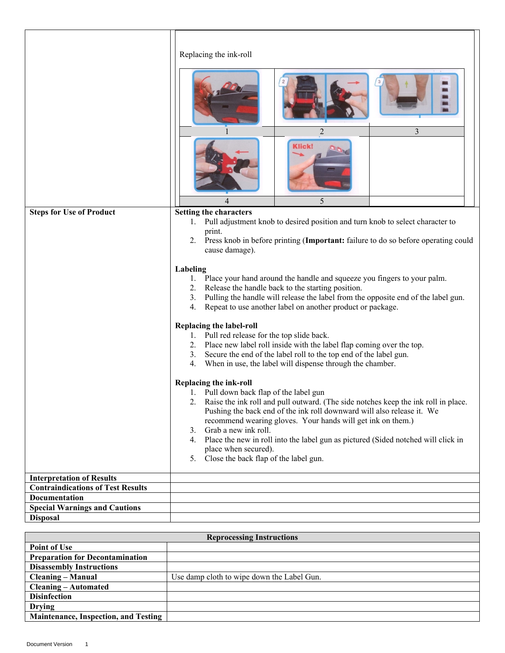|                                                                              | Replacing the ink-roll<br>3<br>2<br><b>Klick!</b>                                                                                                                                                                                                                                                                                                                                                                      |
|------------------------------------------------------------------------------|------------------------------------------------------------------------------------------------------------------------------------------------------------------------------------------------------------------------------------------------------------------------------------------------------------------------------------------------------------------------------------------------------------------------|
|                                                                              |                                                                                                                                                                                                                                                                                                                                                                                                                        |
| <b>Steps for Use of Product</b>                                              | 5<br><b>Setting the characters</b>                                                                                                                                                                                                                                                                                                                                                                                     |
|                                                                              | Pull adjustment knob to desired position and turn knob to select character to<br>1.<br>print.<br>Press knob in before printing (Important: failure to do so before operating could<br>2.<br>cause damage).                                                                                                                                                                                                             |
|                                                                              | Labeling<br>Place your hand around the handle and squeeze you fingers to your palm.<br>1.<br>Release the handle back to the starting position.<br>2.<br>3.<br>Pulling the handle will release the label from the opposite end of the label gun.<br>4.<br>Repeat to use another label on another product or package.                                                                                                    |
|                                                                              | Replacing the label-roll<br>1. Pull red release for the top slide back.<br>Place new label roll inside with the label flap coming over the top.<br>2.<br>Secure the end of the label roll to the top end of the label gun.<br>3.<br>When in use, the label will dispense through the chamber.<br>4.                                                                                                                    |
|                                                                              | Replacing the ink-roll<br>1. Pull down back flap of the label gun<br>Raise the ink roll and pull outward. (The side notches keep the ink roll in place.<br>Pushing the back end of the ink roll downward will also release it. We<br>recommend wearing gloves. Your hands will get ink on them.)<br>Grab a new ink roll.<br>3.<br>4. Place the new in roll into the label gun as pictured (Sided notched will click in |
|                                                                              | place when secured).<br>Close the back flap of the label gun.<br>5.                                                                                                                                                                                                                                                                                                                                                    |
|                                                                              |                                                                                                                                                                                                                                                                                                                                                                                                                        |
| <b>Interpretation of Results</b><br><b>Contraindications of Test Results</b> |                                                                                                                                                                                                                                                                                                                                                                                                                        |
| <b>Documentation</b>                                                         |                                                                                                                                                                                                                                                                                                                                                                                                                        |
| <b>Special Warnings and Cautions</b>                                         |                                                                                                                                                                                                                                                                                                                                                                                                                        |
| <b>Disposal</b>                                                              |                                                                                                                                                                                                                                                                                                                                                                                                                        |
|                                                                              |                                                                                                                                                                                                                                                                                                                                                                                                                        |

| <b>Reprocessing Instructions</b>       |                                            |
|----------------------------------------|--------------------------------------------|
| Point of Use                           |                                            |
| <b>Preparation for Decontamination</b> |                                            |
| <b>Disassembly Instructions</b>        |                                            |
| <b>Cleaning – Manual</b>               | Use damp cloth to wipe down the Label Gun. |
| <b>Cleaning – Automated</b>            |                                            |
| <b>Disinfection</b>                    |                                            |
| <b>Drying</b>                          |                                            |
| Maintenance, Inspection, and Testing   |                                            |